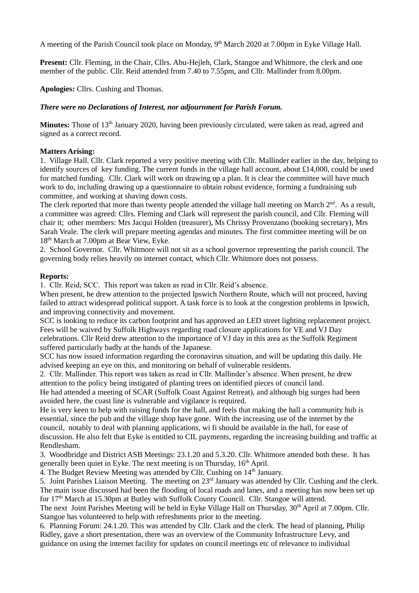A meeting of the Parish Council took place on Monday, 9<sup>th</sup> March 2020 at 7.00pm in Eyke Village Hall.

**Present:** Cllr. Fleming, in the Chair, Cllrs. Abu-Hejleh, Clark, Stangoe and Whitmore, the clerk and one member of the public. Cllr. Reid attended from 7.40 to 7.55pm, and Cllr. Mallinder from 8.00pm.

**Apologies:** Cllrs. Cushing and Thomas.

## *There were no Declarations of Interest, nor adjournment for Parish Forum.*

**Minutes:** Those of 13<sup>th</sup> January 2020, having been previously circulated, were taken as read, agreed and signed as a correct record.

### **Matters Arising:**

1. Village Hall. Cllr. Clark reported a very positive meeting with Cllr. Mallinder earlier in the day, helping to identify sources of key funding. The current funds in the village hall account, about £14,000, could be used for matched funding. Cllr. Clark will work on drawing up a plan. It is clear the committee will have much work to do, including drawing up a questionnaire to obtain robust evidence, forming a fundraising sub committee, and working at shaving down costs.

The clerk reported that more than twenty people attended the village hall meeting on March  $2<sup>nd</sup>$ . As a result, a committee was agreed: Cllrs. Fleming and Clark will represent the parish council, and Cllr. Fleming will chair it; other members: Mrs Jacqui Holden (treasurer), Ms Chrissy Provenzano (booking secretary), Mrs Sarah Veale. The clerk will prepare meeting agendas and minutes. The first committee meeting will be on 18th March at 7.00pm at Bear View, Eyke.

2. School Governor. Cllr. Whitmore will not sit as a school governor representing the parish council. The governing body relies heavily on internet contact, which Cllr. Whitmore does not possess.

#### **Reports:**

1. Cllr. Reid, SCC. This report was taken as read in Cllr. Reid's absence.

When present, he drew attention to the projected Ipswich Northern Route, which will not proceed, having failed to attract widespread political support. A task force is to look at the congestion problems in Ipswich, and improving connectivity and movement.

SCC is looking to reduce its carbon footprint and has approved an LED street lighting replacement project. Fees will be waived by Suffolk Highways regarding road closure applications for VE and VJ Day celebrations. Cllr Reid drew attention to the importance of VJ day in this area as the Suffolk Regiment

suffered particularly badly at the hands of the Japanese.

SCC has now issued information regarding the coronavirus situation, and will be updating this daily. He advised keeping an eye on this, and monitoring on behalf of vulnerable residents.

2. Cllr. Mallinder. This report was taken as read in Cllr. Mallinder's absence. When present, he drew attention to the policy being instigated of planting trees on identified pieces of council land.

He had attended a meeting of SCAR (Suffolk Coast Against Retreat), and although big surges had been avoided here, the coast line is vulnerable and vigilance is required.

He is very keen to help with raising funds for the hall, and feels that making the hall a community hub is essential, since the pub and the village shop have gone. With the increasing use of the internet by the council, notably to deal with planning applications, wi fi should be available in the hall, for ease of discussion. He also felt that Eyke is entitled to CIL payments, regarding the increasing building and traffic at Rendlesham.

3. Woodbridge and District ASB Meetings: 23.1.20 and 5.3.20. Cllr. Whitmore attended both these. It has generally been quiet in Eyke. The next meeting is on Thursday, 16<sup>th</sup> April.

4. The Budget Review Meeting was attended by Cllr. Cushing on 14<sup>th</sup> January.

5. Joint Parishes Liaison Meeting. The meeting on 23rd January was attended by Cllr. Cushing and the clerk. The main issue discussed had been the flooding of local roads and lanes, and a meeting has now been set up for 17<sup>th</sup> March at 15.30pm at Butley with Suffolk County Council. Cllr. Stangoe will attend.

The next Joint Parishes Meeting will be held in Eyke Village Hall on Thursday, 30<sup>th</sup> April at 7.00pm. Cllr. Stangoe has volunteered to help with refreshments prior to the meeting.

6. Planning Forum: 24.1.20. This was attended by Cllr. Clark and the clerk. The head of planning, Philip Ridley, gave a short presentation, there was an overview of the Community Infrastructure Levy, and guidance on using the internet facility for updates on council meetings etc of relevance to individual